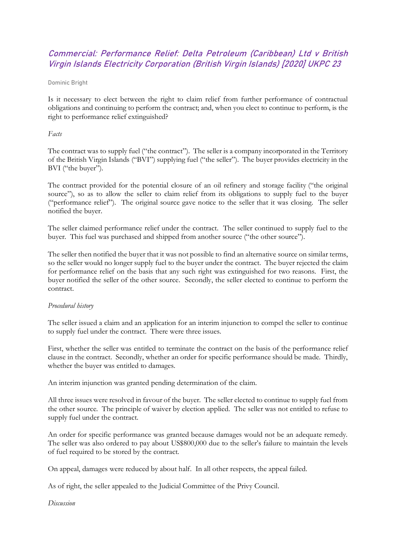# Commercial: Performance Relief: Delta Petroleum (Caribbean) Ltd v British Virgin Islands Electricity Corporation (British Virgin Islands) [2020] UKPC 23

Dominic Bright

Is it necessary to elect between the right to claim relief from further performance of contractual obligations and continuing to perform the contract; and, when you elect to continue to perform, is the right to performance relief extinguished?

#### *Facts*

The contract was to supply fuel ("the contract"). The seller is a company incorporated in the Territory of the British Virgin Islands ("BVI") supplying fuel ("the seller"). The buyer provides electricity in the BVI ("the buyer").

The contract provided for the potential closure of an oil refinery and storage facility ("the original source"), so as to allow the seller to claim relief from its obligations to supply fuel to the buyer ("performance relief"). The original source gave notice to the seller that it was closing. The seller notified the buyer.

The seller claimed performance relief under the contract. The seller continued to supply fuel to the buyer. This fuel was purchased and shipped from another source ("the other source").

The seller then notified the buyer that it was not possible to find an alternative source on similar terms, so the seller would no longer supply fuel to the buyer under the contract. The buyer rejected the claim for performance relief on the basis that any such right was extinguished for two reasons. First, the buyer notified the seller of the other source. Secondly, the seller elected to continue to perform the contract.

#### *Procedural history*

The seller issued a claim and an application for an interim injunction to compel the seller to continue to supply fuel under the contract. There were three issues.

First, whether the seller was entitled to terminate the contract on the basis of the performance relief clause in the contract. Secondly, whether an order for specific performance should be made. Thirdly, whether the buyer was entitled to damages.

An interim injunction was granted pending determination of the claim.

All three issues were resolved in favour of the buyer. The seller elected to continue to supply fuel from the other source. The principle of waiver by election applied. The seller was not entitled to refuse to supply fuel under the contract.

An order for specific performance was granted because damages would not be an adequate remedy. The seller was also ordered to pay about US\$800,000 due to the seller's failure to maintain the levels of fuel required to be stored by the contract.

On appeal, damages were reduced by about half. In all other respects, the appeal failed.

As of right, the seller appealed to the Judicial Committee of the Privy Council.

*Discussion*